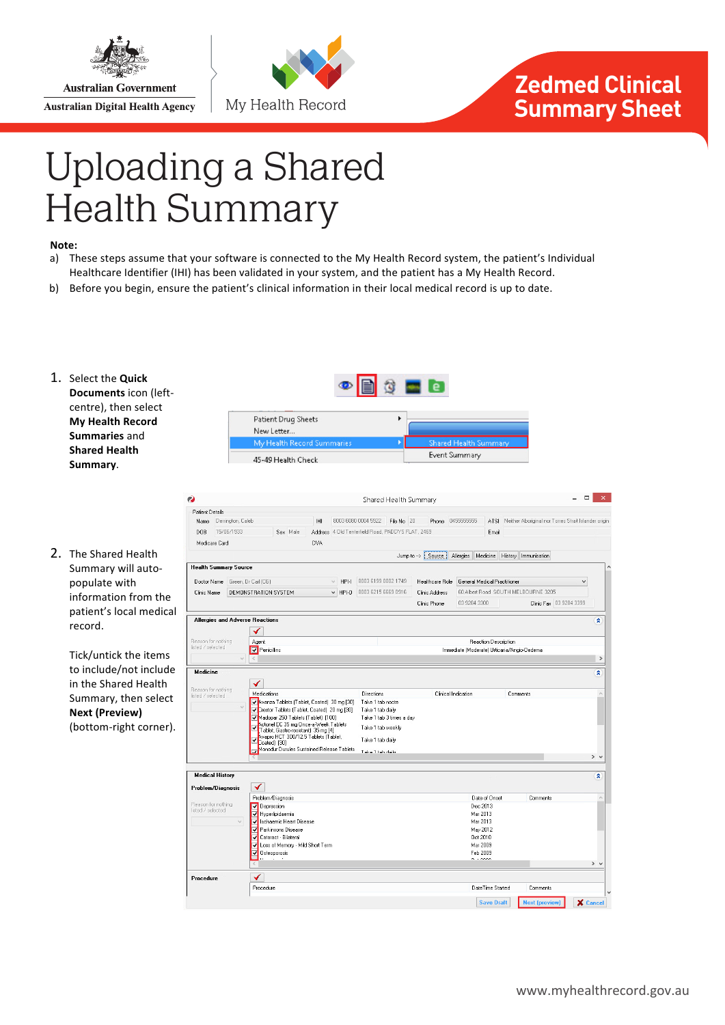

**Australian Government Australian Digital Health Agency** 





## Uploading a Shared Health Summary **Zedmed Clinical Summary Sheet**

## **Note:**

- a) These steps assume that your software is connected to the My Health Record system, the patient's Individual Healthcare Identifier (IHI) has been validated in your system, and the patient has a My Health Record.
- b) Before you begin, ensure the patient's clinical information in their local medical record is up to date.

Patient Drug Sheets New Letter .. Mu Health

- 1. Select the **Quick Documents** icon (leftcentre), then select **My Health Record Summaries** and **Shared Health Summary**.
- 2. The Shared Health Summary will autopopulate with information from the patient's local medical record.

Tick/untick the items to include/not include in the Shared Health Summary, then select **Next 
(Preview)** (bottom-right corner).



 $\alpha = 1$